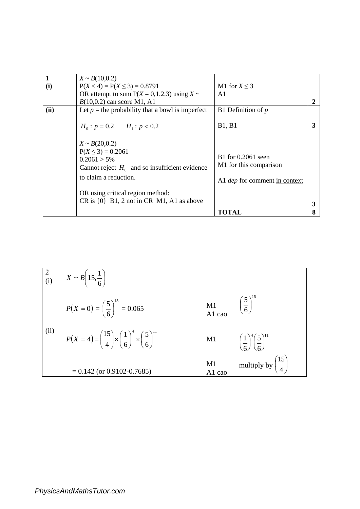|      | $X \sim B(10,0.2)$                                                                                                                         |                                                                                      |   |
|------|--------------------------------------------------------------------------------------------------------------------------------------------|--------------------------------------------------------------------------------------|---|
| (i)  | $P(X < 4) = P(X \le 3) = 0.8791$                                                                                                           | M1 for $X \leq 3$                                                                    |   |
|      | OR attempt to sum $P(X = 0,1,2,3)$ using $X \sim$                                                                                          | A <sub>1</sub>                                                                       |   |
|      | $B(10,0.2)$ can score M1, A1                                                                                                               |                                                                                      |   |
| (ii) | Let $p =$ the probability that a bowl is imperfect                                                                                         | B1 Definition of $p$                                                                 |   |
|      | $H_0: p = 0.2$ $H_1: p < 0.2$                                                                                                              | <b>B1, B1</b>                                                                        |   |
|      | $X \sim B(20,0.2)$<br>$P(X \le 3) = 0.2061$<br>$0.2061 > 5\%$<br>Cannot reject $H_0$ and so insufficient evidence<br>to claim a reduction. | B1 for 0.2061 seen<br>M1 for this comparison<br>A1 <i>dep</i> for comment in context |   |
|      | OR using critical region method:<br>$CR$ is $\{0\}$ $B1$ , 2 not in CR M1, A1 as above                                                     |                                                                                      | 3 |
|      |                                                                                                                                            | TOTAL                                                                                | 8 |

|      | $\begin{pmatrix} 2 \\ (i) \end{pmatrix}$ $X \sim B\left(15, \frac{1}{6}\right)$                    |              |                                                             |
|------|----------------------------------------------------------------------------------------------------|--------------|-------------------------------------------------------------|
|      | $P(X = 0) = \left(\frac{5}{6}\right)^{15} = 0.065$                                                 | M1<br>A1 cao | $\left(\frac{5}{6}\right)^{15}$                             |
| (ii) | $P(X = 4) = {15 \choose 4} \times \left(\frac{1}{6}\right)^4 \times \left(\frac{5}{6}\right)^{11}$ | M1           | $\left( \frac{1}{6} \right)^4 \left( \frac{5}{6} \right)^1$ |
|      | $= 0.142$ (or 0.9102-0.7685)                                                                       | M1<br>A1 cao | $\vert$ multiply by $\begin{pmatrix} 15 \\ 4 \end{pmatrix}$ |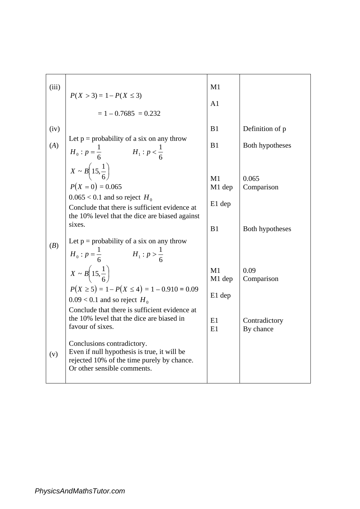| (iii) | $P(X > 3) = 1 - P(X \le 3)$<br>$= 1 - 0.7685 = 0.232$                                                                                                                                                | M1<br>A1               |                            |
|-------|------------------------------------------------------------------------------------------------------------------------------------------------------------------------------------------------------|------------------------|----------------------------|
| (iv)  |                                                                                                                                                                                                      | B1                     | Definition of p            |
| (A)   | Let $p =$ probability of a six on any throw<br>$H_0: p = \frac{1}{6}$ $H_1: p < \frac{1}{6}$                                                                                                         | B1                     | Both hypotheses            |
|       | $X \sim B\left(15, \frac{1}{6}\right)$<br>$P(X = 0) = 0.065$<br>$0.065 < 0.1$ and so reject $H_0$<br>Conclude that there is sufficient evidence at<br>the 10% level that the dice are biased against | M1<br>M1 dep<br>E1 dep | 0.065<br>Comparison        |
|       | sixes.                                                                                                                                                                                               | B <sub>1</sub>         | Both hypotheses            |
| (B)   | Let $p =$ probability of a six on any throw<br>$H_0: p = \frac{1}{6}$ $H_1: p > \frac{1}{6}$                                                                                                         |                        |                            |
|       | $X \sim B\left(15, \frac{1}{6}\right)$                                                                                                                                                               | M1<br>M1 dep           | 0.09<br>Comparison         |
|       | $P(X \ge 5) = 1 - P(X \le 4) = 1 - 0.910 = 0.09$<br>$0.09 < 0.1$ and so reject $H_0$<br>Conclude that there is sufficient evidence at                                                                | E1 dep                 |                            |
|       | the 10% level that the dice are biased in<br>favour of sixes.                                                                                                                                        | E1<br>E1               | Contradictory<br>By chance |
| (v)   | Conclusions contradictory.<br>Even if null hypothesis is true, it will be<br>rejected 10% of the time purely by chance.<br>Or other sensible comments.                                               |                        |                            |